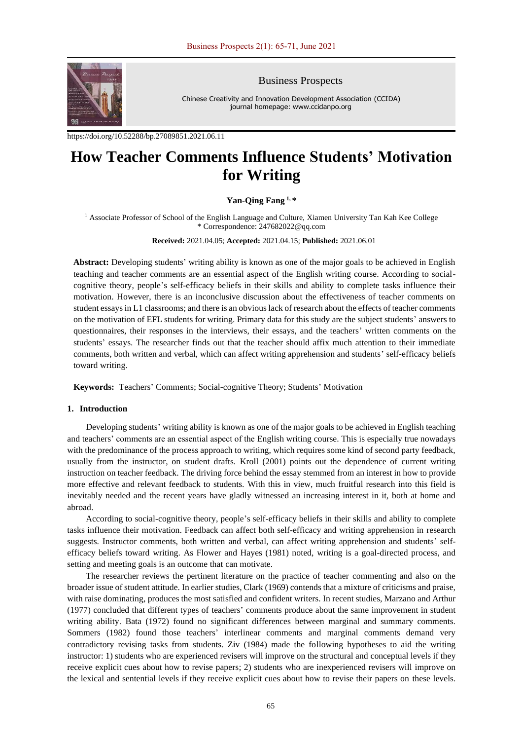

Business Prospects

Chinese Creativity and Innovation Development Association (CCIDA) journal homepage: www.ccidanpo.org

<https://doi.org/10.52288/bp.27089851.2021.06.11>

# **How Teacher Comments Influence Students' Motivation for Writing**

# **Yan-Qing Fang 1, \***

<sup>1</sup> Associate Professor of School of the English Language and Culture, Xiamen University Tan Kah Kee College \* Correspondence: 247682022@qq.com

**Received:** 2021.04.05; **Accepted:** 2021.04.15; **Published:** 2021.06.01

**Abstract:** Developing students' writing ability is known as one of the major goals to be achieved in English teaching and teacher comments are an essential aspect of the English writing course. According to socialcognitive theory, people's self-efficacy beliefs in their skills and ability to complete tasks influence their motivation. However, there is an inconclusive discussion about the effectiveness of teacher comments on student essays in L1 classrooms; and there is an obvious lack of research about the effects of teacher comments on the motivation of EFL students for writing. Primary data for this study are the subject students' answers to questionnaires, their responses in the interviews, their essays, and the teachers' written comments on the students' essays. The researcher finds out that the teacher should affix much attention to their immediate comments, both written and verbal, which can affect writing apprehension and students' self-efficacy beliefs toward writing.

**Keywords:** Teachers' Comments; Social-cognitive Theory; Students' Motivation

## **1. Introduction**

Developing students' writing ability is known as one of the major goals to be achieved in English teaching and teachers' comments are an essential aspect of the English writing course. This is especially true nowadays with the predominance of the process approach to writing, which requires some kind of second party feedback, usually from the instructor, on student drafts. Kroll (2001) points out the dependence of current writing instruction on teacher feedback. The driving force behind the essay stemmed from an interest in how to provide more effective and relevant feedback to students. With this in view, much fruitful research into this field is inevitably needed and the recent years have gladly witnessed an increasing interest in it, both at home and abroad.

According to social-cognitive theory, people's self-efficacy beliefs in their skills and ability to complete tasks influence their motivation. Feedback can affect both self-efficacy and writing apprehension in research suggests. Instructor comments, both written and verbal, can affect writing apprehension and students' selfefficacy beliefs toward writing. As Flower and Hayes (1981) noted, writing is a goal-directed process, and setting and meeting goals is an outcome that can motivate.

The researcher reviews the pertinent literature on the practice of teacher commenting and also on the broader issue of student attitude. In earlier studies, Clark (1969) contends that a mixture of criticisms and praise, with raise dominating, produces the most satisfied and confident writers. In recent studies, Marzano and Arthur (1977) concluded that different types of teachers' comments produce about the same improvement in student writing ability. Bata (1972) found no significant differences between marginal and summary comments. Sommers (1982) found those teachers' interlinear comments and marginal comments demand very contradictory revising tasks from students. Ziv (1984) made the following hypotheses to aid the writing instructor: 1) students who are experienced revisers will improve on the structural and conceptual levels if they receive explicit cues about how to revise papers; 2) students who are inexperienced revisers will improve on the lexical and sentential levels if they receive explicit cues about how to revise their papers on these levels.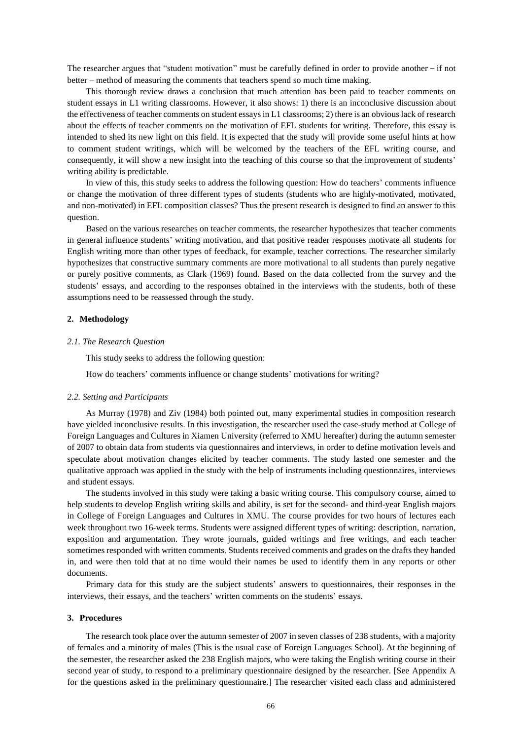The researcher argues that "student motivation" must be carefully defined in order to provide another  $-$  if not better – method of measuring the comments that teachers spend so much time making.

This thorough review draws a conclusion that much attention has been paid to teacher comments on student essays in L1 writing classrooms. However, it also shows: 1) there is an inconclusive discussion about the effectiveness of teacher comments on student essays in L1 classrooms; 2) there is an obvious lack of research about the effects of teacher comments on the motivation of EFL students for writing. Therefore, this essay is intended to shed its new light on this field. It is expected that the study will provide some useful hints at how to comment student writings, which will be welcomed by the teachers of the EFL writing course, and consequently, it will show a new insight into the teaching of this course so that the improvement of students' writing ability is predictable.

In view of this, this study seeks to address the following question: How do teachers' comments influence or change the motivation of three different types of students (students who are highly-motivated, motivated, and non-motivated) in EFL composition classes? Thus the present research is designed to find an answer to this question.

Based on the various researches on teacher comments, the researcher hypothesizes that teacher comments in general influence students' writing motivation, and that positive reader responses motivate all students for English writing more than other types of feedback, for example, teacher corrections. The researcher similarly hypothesizes that constructive summary comments are more motivational to all students than purely negative or purely positive comments, as Clark (1969) found. Based on the data collected from the survey and the students' essays, and according to the responses obtained in the interviews with the students, both of these assumptions need to be reassessed through the study.

#### **2. Methodology**

## *2.1. The Research Question*

This study seeks to address the following question:

How do teachers' comments influence or change students' motivations for writing?

#### *2.2. Setting and Participants*

As Murray (1978) and Ziv (1984) both pointed out, many experimental studies in composition research have yielded inconclusive results. In this investigation, the researcher used the case-study method at College of Foreign Languages and Cultures in Xiamen University (referred to XMU hereafter) during the autumn semester of 2007 to obtain data from students via questionnaires and interviews, in order to define motivation levels and speculate about motivation changes elicited by teacher comments. The study lasted one semester and the qualitative approach was applied in the study with the help of instruments including questionnaires, interviews and student essays.

The students involved in this study were taking a basic writing course. This compulsory course, aimed to help students to develop English writing skills and ability, is set for the second- and third-year English majors in College of Foreign Languages and Cultures in XMU. The course provides for two hours of lectures each week throughout two 16-week terms. Students were assigned different types of writing: description, narration, exposition and argumentation. They wrote journals, guided writings and free writings, and each teacher sometimes responded with written comments. Students received comments and grades on the drafts they handed in, and were then told that at no time would their names be used to identify them in any reports or other documents.

Primary data for this study are the subject students' answers to questionnaires, their responses in the interviews, their essays, and the teachers' written comments on the students' essays.

#### **3. Procedures**

The research took place over the autumn semester of 2007 in seven classes of 238 students, with a majority of females and a minority of males (This is the usual case of Foreign Languages School). At the beginning of the semester, the researcher asked the 238 English majors, who were taking the English writing course in their second year of study, to respond to a preliminary questionnaire designed by the researcher. [See Appendix A for the questions asked in the preliminary questionnaire.] The researcher visited each class and administered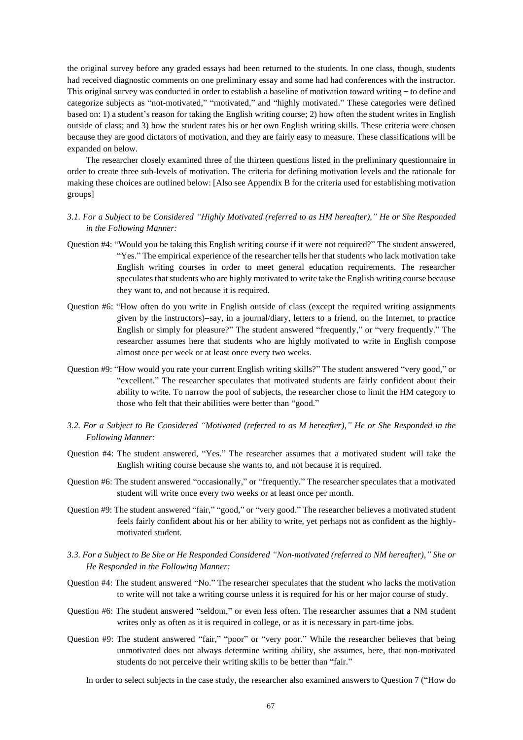the original survey before any graded essays had been returned to the students. In one class, though, students had received diagnostic comments on one preliminary essay and some had had conferences with the instructor. This original survey was conducted in order to establish a baseline of motivation toward writing-to define and categorize subjects as "not-motivated," "motivated," and "highly motivated." These categories were defined based on: 1) a student's reason for taking the English writing course; 2) how often the student writes in English outside of class; and 3) how the student rates his or her own English writing skills. These criteria were chosen because they are good dictators of motivation, and they are fairly easy to measure. These classifications will be expanded on below.

The researcher closely examined three of the thirteen questions listed in the preliminary questionnaire in order to create three sub-levels of motivation. The criteria for defining motivation levels and the rationale for making these choices are outlined below: [Also see Appendix B for the criteria used for establishing motivation groups]

# *3.1. For a Subject to be Considered "Highly Motivated (referred to as HM hereafter)," He or She Responded in the Following Manner:*

- Question #4: "Would you be taking this English writing course if it were not required?" The student answered, "Yes." The empirical experience of the researcher tells her that students who lack motivation take English writing courses in order to meet general education requirements. The researcher speculates that students who are highly motivated to write take the English writing course because they want to, and not because it is required.
- Question #6: "How often do you write in English outside of class (except the required writing assignments given by the instructors)−say, in a journal/diary, letters to a friend, on the Internet, to practice English or simply for pleasure?" The student answered "frequently," or "very frequently." The researcher assumes here that students who are highly motivated to write in English compose almost once per week or at least once every two weeks.
- Question #9: "How would you rate your current English writing skills?" The student answered "very good," or "excellent." The researcher speculates that motivated students are fairly confident about their ability to write. To narrow the pool of subjects, the researcher chose to limit the HM category to those who felt that their abilities were better than "good."
- *3.2. For a Subject to Be Considered "Motivated (referred to as M hereafter)," He or She Responded in the Following Manner:*
- Question #4: The student answered, "Yes." The researcher assumes that a motivated student will take the English writing course because she wants to, and not because it is required.
- Question #6: The student answered "occasionally," or "frequently." The researcher speculates that a motivated student will write once every two weeks or at least once per month.
- Question #9: The student answered "fair," "good," or "very good." The researcher believes a motivated student feels fairly confident about his or her ability to write, yet perhaps not as confident as the highlymotivated student.
- *3.3. For a Subject to Be She or He Responded Considered "Non-motivated (referred to NM hereafter)," She or He Responded in the Following Manner:*
- Question #4: The student answered "No." The researcher speculates that the student who lacks the motivation to write will not take a writing course unless it is required for his or her major course of study.
- Question #6: The student answered "seldom," or even less often. The researcher assumes that a NM student writes only as often as it is required in college, or as it is necessary in part-time jobs.
- Question #9: The student answered "fair," "poor" or "very poor." While the researcher believes that being unmotivated does not always determine writing ability, she assumes, here, that non-motivated students do not perceive their writing skills to be better than "fair."

In order to select subjects in the case study, the researcher also examined answers to Question 7 ("How do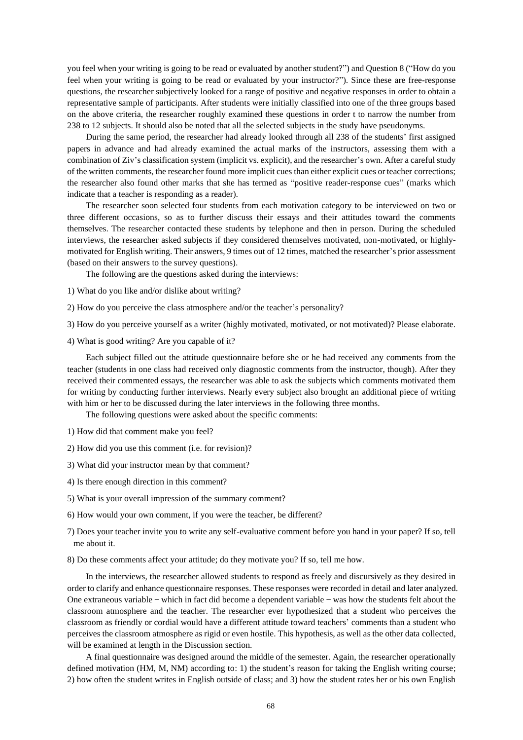you feel when your writing is going to be read or evaluated by another student?") and Question 8 ("How do you feel when your writing is going to be read or evaluated by your instructor?"). Since these are free-response questions, the researcher subjectively looked for a range of positive and negative responses in order to obtain a representative sample of participants. After students were initially classified into one of the three groups based on the above criteria, the researcher roughly examined these questions in order t to narrow the number from 238 to 12 subjects. It should also be noted that all the selected subjects in the study have pseudonyms.

During the same period, the researcher had already looked through all 238 of the students' first assigned papers in advance and had already examined the actual marks of the instructors, assessing them with a combination of Ziv's classification system (implicit vs. explicit), and the researcher's own. After a careful study of the written comments, the researcher found more implicit cues than either explicit cues or teacher corrections; the researcher also found other marks that she has termed as "positive reader-response cues" (marks which indicate that a teacher is responding as a reader).

The researcher soon selected four students from each motivation category to be interviewed on two or three different occasions, so as to further discuss their essays and their attitudes toward the comments themselves. The researcher contacted these students by telephone and then in person. During the scheduled interviews, the researcher asked subjects if they considered themselves motivated, non-motivated, or highlymotivated for English writing. Their answers, 9 times out of 12 times, matched the researcher's prior assessment (based on their answers to the survey questions).

The following are the questions asked during the interviews:

- 1) What do you like and/or dislike about writing?
- 2) How do you perceive the class atmosphere and/or the teacher's personality?
- 3) How do you perceive yourself as a writer (highly motivated, motivated, or not motivated)? Please elaborate.
- 4) What is good writing? Are you capable of it?

Each subject filled out the attitude questionnaire before she or he had received any comments from the teacher (students in one class had received only diagnostic comments from the instructor, though). After they received their commented essays, the researcher was able to ask the subjects which comments motivated them for writing by conducting further interviews. Nearly every subject also brought an additional piece of writing with him or her to be discussed during the later interviews in the following three months.

The following questions were asked about the specific comments:

- 1) How did that comment make you feel?
- 2) How did you use this comment (i.e. for revision)?
- 3) What did your instructor mean by that comment?
- 4) Is there enough direction in this comment?
- 5) What is your overall impression of the summary comment?
- 6) How would your own comment, if you were the teacher, be different?
- 7) Does your teacher invite you to write any self-evaluative comment before you hand in your paper? If so, tell me about it.
- 8) Do these comments affect your attitude; do they motivate you? If so, tell me how.

In the interviews, the researcher allowed students to respond as freely and discursively as they desired in order to clarify and enhance questionnaire responses. These responses were recorded in detail and later analyzed. One extraneous variable – which in fact did become a dependent variable – was how the students felt about the classroom atmosphere and the teacher. The researcher ever hypothesized that a student who perceives the classroom as friendly or cordial would have a different attitude toward teachers' comments than a student who perceives the classroom atmosphere as rigid or even hostile. This hypothesis, as well as the other data collected, will be examined at length in the Discussion section.

A final questionnaire was designed around the middle of the semester. Again, the researcher operationally defined motivation (HM, M, NM) according to: 1) the student's reason for taking the English writing course; 2) how often the student writes in English outside of class; and 3) how the student rates her or his own English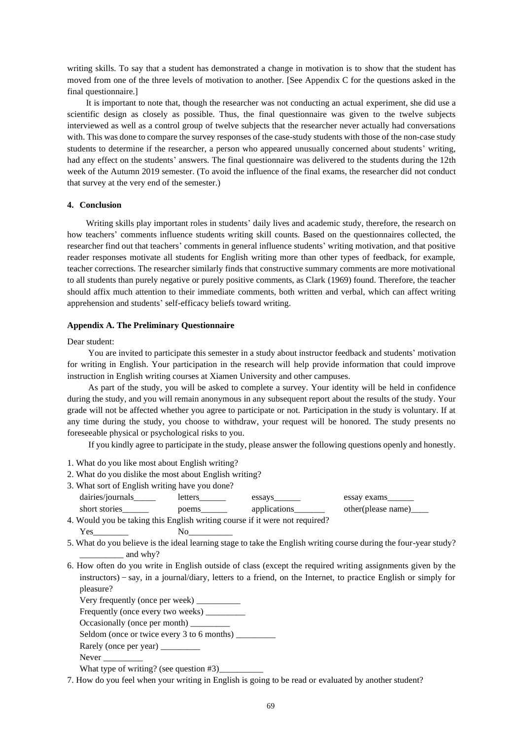writing skills. To say that a student has demonstrated a change in motivation is to show that the student has moved from one of the three levels of motivation to another. [See Appendix C for the questions asked in the final questionnaire.]

It is important to note that, though the researcher was not conducting an actual experiment, she did use a scientific design as closely as possible. Thus, the final questionnaire was given to the twelve subjects interviewed as well as a control group of twelve subjects that the researcher never actually had conversations with. This was done to compare the survey responses of the case-study students with those of the non-case study students to determine if the researcher, a person who appeared unusually concerned about students' writing, had any effect on the students' answers. The final questionnaire was delivered to the students during the 12th week of the Autumn 2019 semester. (To avoid the influence of the final exams, the researcher did not conduct that survey at the very end of the semester.)

## **4. Conclusion**

Writing skills play important roles in students' daily lives and academic study, therefore, the research on how teachers' comments influence students writing skill counts. Based on the questionnaires collected, the researcher find out that teachers' comments in general influence students' writing motivation, and that positive reader responses motivate all students for English writing more than other types of feedback, for example, teacher corrections. The researcher similarly finds that constructive summary comments are more motivational to all students than purely negative or purely positive comments, as Clark (1969) found. Therefore, the teacher should affix much attention to their immediate comments, both written and verbal, which can affect writing apprehension and students' self-efficacy beliefs toward writing.

## **Appendix A. The Preliminary Questionnaire**

#### Dear student:

You are invited to participate this semester in a study about instructor feedback and students' motivation for writing in English. Your participation in the research will help provide information that could improve instruction in English writing courses at Xiamen University and other campuses.

As part of the study, you will be asked to complete a survey. Your identity will be held in confidence during the study, and you will remain anonymous in any subsequent report about the results of the study. Your grade will not be affected whether you agree to participate or not. Participation in the study is voluntary. If at any time during the study, you choose to withdraw, your request will be honored. The study presents no foreseeable physical or psychological risks to you.

If you kindly agree to participate in the study, please answer the following questions openly and honestly.

- 1. What do you like most about English writing?
- 2. What do you dislike the most about English writing?
- 3. What sort of English writing have you done?

| dairies/journals                                                          | letters | essays       | essay exams            |  |  |
|---------------------------------------------------------------------------|---------|--------------|------------------------|--|--|
| short stories                                                             | poems   | applications | other(please name)____ |  |  |
| Would you he telring this Unalish writing course if it were not required? |         |              |                        |  |  |

- 4. Would you be taking this English writing course if it were not required? Yes\_\_\_\_\_\_\_\_ No\_\_\_\_\_\_\_\_\_\_
- 5. What do you believe is the ideal learning stage to take the English writing course during the four-year study? \_\_\_\_\_\_\_\_\_\_ and why?
- 6. How often do you write in English outside of class (except the required writing assignments given by the instructors)-say, in a journal/diary, letters to a friend, on the Internet, to practice English or simply for pleasure?

Very frequently (once per week) \_ Frequently (once every two weeks)

Occasionally (once per month) \_\_\_\_\_\_\_\_\_

Seldom (once or twice every 3 to 6 months) \_\_\_\_\_\_\_\_\_

Never

What type of writing? (see question  $#3$ )

7. How do you feel when your writing in English is going to be read or evaluated by another student?

Rarely (once per year) \_\_\_\_\_\_\_\_\_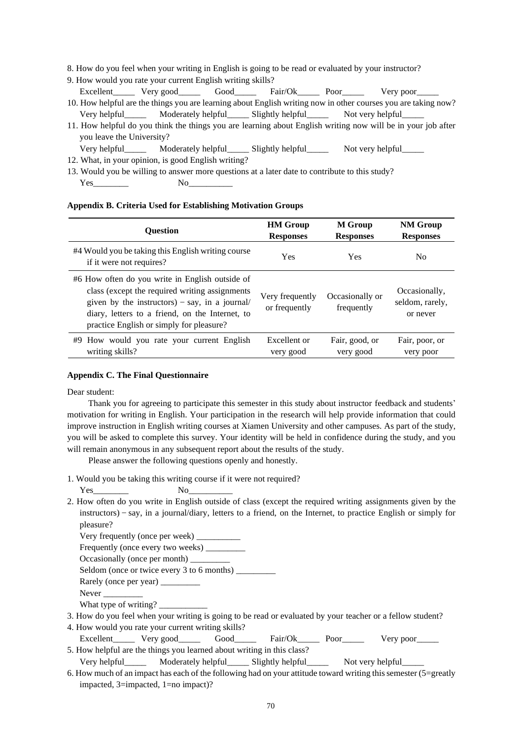8. How do you feel when your writing in English is going to be read or evaluated by your instructor?

- 9. How would you rate your current English writing skills? Excellent\_\_\_\_\_ Very good\_\_\_\_\_ Good\_\_\_\_\_ Fair/Ok\_\_\_\_\_ Poor\_\_\_\_\_ Very poor\_
- 10. How helpful are the things you are learning about English writing now in other courses you are taking now? Very helpful\_\_\_\_\_ Moderately helpful\_\_\_\_\_ Slightly helpful\_\_\_\_\_ Not very helpful\_\_\_\_\_
- 11. How helpful do you think the things you are learning about English writing now will be in your job after you leave the University?
	- Very helpful\_\_\_\_\_ Moderately helpful\_\_\_\_\_ Slightly helpful\_\_\_\_\_ Not very helpful\_\_\_\_\_
- 12. What, in your opinion, is good English writing?
- 13. Would you be willing to answer more questions at a later date to contribute to this study? Yes\_\_\_\_\_\_\_\_ No\_\_\_\_\_\_\_\_\_\_

## **Appendix B. Criteria Used for Establishing Motivation Groups**

| <b>Ouestion</b>                                                                                                                                                                                                                                    | <b>HM Group</b>                  | <b>M</b> Group                | <b>NM Group</b>                              |
|----------------------------------------------------------------------------------------------------------------------------------------------------------------------------------------------------------------------------------------------------|----------------------------------|-------------------------------|----------------------------------------------|
|                                                                                                                                                                                                                                                    | <b>Responses</b>                 | <b>Responses</b>              | <b>Responses</b>                             |
| #4 Would you be taking this English writing course<br>if it were not requires?                                                                                                                                                                     | <b>Yes</b>                       | Yes                           | No                                           |
| #6 How often do you write in English outside of<br>class (except the required writing assignments<br>given by the instructors) – say, in a journal/<br>diary, letters to a friend, on the Internet, to<br>practice English or simply for pleasure? | Very frequently<br>or frequently | Occasionally or<br>frequently | Occasionally.<br>seldom, rarely,<br>or never |
| #9 How would you rate your current English                                                                                                                                                                                                         | Excellent or                     | Fair, good, or                | Fair, poor, or                               |
| writing skills?                                                                                                                                                                                                                                    | very good                        | very good                     | very poor                                    |

# **Appendix C. The Final Questionnaire**

Dear student:

Thank you for agreeing to participate this semester in this study about instructor feedback and students' motivation for writing in English. Your participation in the research will help provide information that could improve instruction in English writing courses at Xiamen University and other campuses. As part of the study, you will be asked to complete this survey. Your identity will be held in confidence during the study, and you will remain anonymous in any subsequent report about the results of the study.

Please answer the following questions openly and honestly.

1. Would you be taking this writing course if it were not required?

Yes No

2. How often do you write in English outside of class (except the required writing assignments given by the instructors)-say, in a journal/diary, letters to a friend, on the Internet, to practice English or simply for pleasure?

Very frequently (once per week) \_\_\_\_\_\_\_\_\_\_

Frequently (once every two weeks) \_\_\_\_\_\_\_\_\_

Occasionally (once per month) \_\_\_\_\_\_

Seldom (once or twice every 3 to 6 months) \_\_\_\_\_\_\_\_\_

- Rarely (once per year) \_\_\_\_\_\_\_\_\_
- Never

What type of writing?

3. How do you feel when your writing is going to be read or evaluated by your teacher or a fellow student?

4. How would you rate your current writing skills?

Excellent\_\_\_\_\_ Very good\_\_\_\_\_ Good\_\_\_\_\_ Fair/Ok\_\_\_\_\_ Poor\_\_\_\_\_ Very poor\_\_\_ 5. How helpful are the things you learned about writing in this class?

Very helpful\_\_\_\_\_\_\_ Moderately helpful\_\_\_\_\_\_ Slightly helpful\_\_\_\_\_\_\_ Not very helpful\_\_

6. How much of an impact has each of the following had on your attitude toward writing this semester (5=greatly impacted, 3=impacted, 1=no impact)?